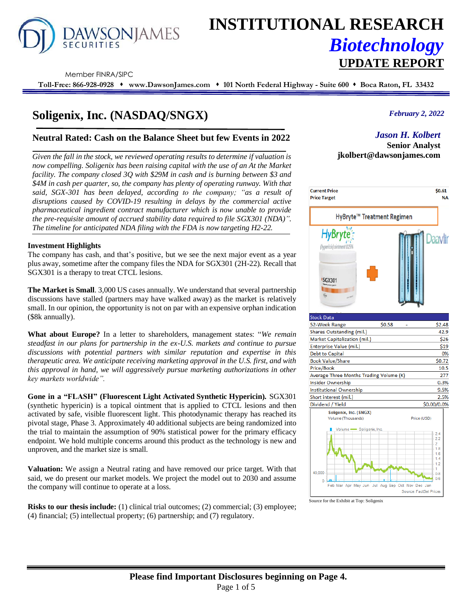

# **INSTITUTIONAL RESEARCH** *Biotechnology* **UPDATE REPORT**

Member FINRA/SIPC

**Toll-Free: 866-928-0928** ⬧ **www.DawsonJames.com** ⬧ **101 North Federal Highway - Suite 600** ⬧ **Boca Raton, FL 33432**

# **Soligenix, Inc. (NASDAQ/SNGX)**

## **Neutral Rated: Cash on the Balance Sheet but few Events in 2022**

*Given the fall in the stock, we reviewed operating results to determine if valuation is now compelling. Soligenix has been raising capital with the use of an At the Market facility. The company closed 3Q with \$29M in cash and is burning between \$3 and \$4M in cash per quarter, so, the company has plenty of operating runway. With that said, SGX-301 has been delayed, according to the company; "as a result of disruptions caused by COVID-19 resulting in delays by the commercial active pharmaceutical ingredient contract manufacturer which is now unable to provide the pre-requisite amount of accrued stability data required to file SGX301 (NDA)". The timeline for anticipated NDA filing with the FDA is now targeting H2-22.*

#### **Investment Highlights**

The company has cash, and that's positive, but we see the next major event as a year plus away, sometime after the company files the NDA for SGX301 (2H-22). Recall that SGX301 is a therapy to treat CTCL lesions.

**The Market is Small**. 3,000 US cases annually. We understand that several partnership discussions have stalled (partners may have walked away) as the market is relatively small. In our opinion, the opportunity is not on par with an expensive orphan indication (\$8k annually).

**What about Europe?** In a letter to shareholders, management states: "*We remain steadfast in our plans for partnership in the ex-U.S. markets and continue to pursue discussions with potential partners with similar reputation and expertise in this therapeutic area. We anticipate receiving marketing approval in the U.S. first, and with this approval in hand, we will aggressively pursue marketing authorizations in other key markets worldwide".*

**Gone in a "FLASH" (Fluorescent Light Activated Synthetic Hypericin).** SGX301 (synthetic hypericin) is a topical ointment that is applied to CTCL lesions and then activated by safe, visible fluorescent light. This photodynamic therapy has reached its pivotal stage, Phase 3. Approximately 40 additional subjects are being randomized into the trial to maintain the assumption of 90% statistical power for the primary efficacy endpoint. We hold multiple concerns around this product as the technology is new and unproven, and the market size is small.

**Valuation:** We assign a Neutral rating and have removed our price target. With that said, we do present our market models. We project the model out to 2030 and assume the company will continue to operate at a loss.

**Risks to our thesis include:** (1) clinical trial outcomes; (2) commercial; (3) employee; (4) financial; (5) intellectual property; (6) partnership; and (7) regulatory.

### *February 2, 2022*

# *Jason H. Kolbert*

**Senior Analyst jkolbert@dawsonjames.com**



Source for the Exhibit at Top: Soligenix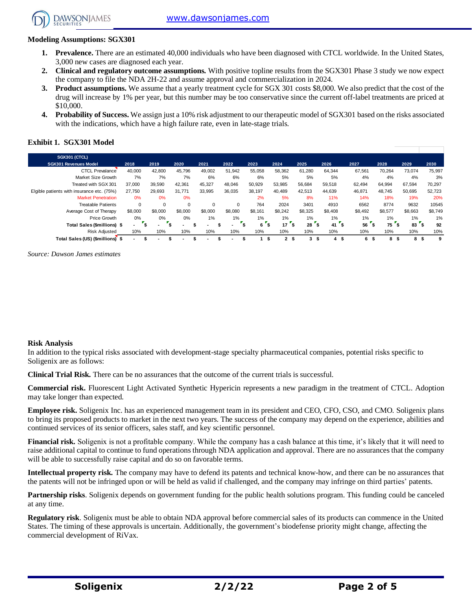### **Modeling Assumptions: SGX301**

**DAWSONIAMES** 

- **Prevalence.** There are an estimated 40,000 individuals who have been diagnosed with CTCL worldwide. In the United States, 3,000 new cases are diagnosed each year.
- **2. Clinical and regulatory outcome assumptions.** With positive topline results from the SGX301 Phase 3 study we now expect the company to file the NDA 2H-22 and assume approval and commercialization in 2024.
- **3. Product assumptions.** We assume that a yearly treatment cycle for SGX 301 costs \$8,000. We also predict that the cost of the drug will increase by 1% per year, but this number may be too conservative since the current off-label treatments are priced at \$10,000.
- **4. Probability of Success.** We assign just a 10% risk adjustment to our therapeutic model of SGX301 based on the risks associated with the indications, which have a high failure rate, even in late-stage trials.

#### **Exhibit 1. SGX301 Model**

| <b>SGX301 (CTCL)</b>                       |          |         |          |          |          |         |                      |         |          |         |         |                 |         |
|--------------------------------------------|----------|---------|----------|----------|----------|---------|----------------------|---------|----------|---------|---------|-----------------|---------|
| <b>SGX301 Revenues Model</b>               | 2018     | 2019    | 2020     | 2021     | 2022     | 2023    | 2024                 | 2025    | 2026     | 2027    | 2028    | 2029            | 2030    |
| <b>CTCL Prevalance</b>                     | 40,000   | 42.800  | 45,796   | 49,002   | 51,942   | 55,058  | 58,362               | 61,280  | 64.344   | 67,561  | 70.264  | 73,074          | 75,997  |
| Market Size Growth                         | 7%       | 7%      | 7%       | 6%       | 6%       | 6%      | 5%                   | 5%      | 5%       | 4%      | 4%      | 4%              | 3%      |
| Treated with SGX 301                       | 37,000   | 39,590  | 42.361   | 45,327   | 48,046   | 50,929  | 53,985               | 56,684  | 59,518   | 62.494  | 64,994  | 67,594          | 70,297  |
| Elgible patients with insurance etc. (75%) | 27,750   | 29,693  | 31,771   | 33,995   | 36,035   | 38,197  | 40,489               | 42,513  | 44,639   | 46,871  | 48.745  | 50,695          | 52,723  |
| <b>Market Penetration</b>                  | 0%       | 0%      | 0%       |          |          | 2%      | 5%                   | 8%      | 11%      | 14%     | 18%     | 19%             | 20%     |
| <b>Treatable Patients</b>                  | $\Omega$ | 0       | $\Omega$ | $\Omega$ | $\Omega$ | 764     | 2024                 | 3401    | 4910     | 6562    | 8774    | 9632            | 10545   |
| Average Cost of Therapy                    | \$8,000  | \$8,000 | \$8,000  | \$8,000  | \$8,080  | \$8,161 | \$8,242              | \$8,325 | \$8,408  | \$8,492 | \$8,577 | \$8,663         | \$8,749 |
| Price Growth                               | 0%       | $0\%$   | 0%       | 1%       | 1%       | $1\%$   | 1%                   | 1%      | $1\%$    | 1%      | 1%      | 1%              | 1%      |
| Total Sales (\$millions) \$                | ٠        | `e      |          |          |          | 6       | 17                   | 28      | 's<br>41 | 56      | 75<br>S | 83 <sup>2</sup> | 92      |
| <b>Risk Adiusted</b>                       | 10%      | 10%     | 10%      | 10%      | 10%      | 10%     | 10%                  | 10%     | 10%      | 10%     | 10%     | 10%             | 10%     |
| Total Sales (US) (\$millions) \$           |          |         |          |          |          |         | $\mathbf{2}$<br>- \$ | 3<br>-S | 4<br>ŝ.  | 6<br>-S | 8<br>Ŝ. | 8<br>S          | 9       |

*Source: Dawson James estimates*

#### **Risk Analysis**

In addition to the typical risks associated with development-stage specialty pharmaceutical companies, potential risks specific to Soligenix are as follows:

**Clinical Trial Risk.** There can be no assurances that the outcome of the current trials is successful.

**Commercial risk.** Fluorescent Light Activated Synthetic Hypericin represents a new paradigm in the treatment of CTCL. Adoption may take longer than expected.

**Employee risk.** Soligenix Inc. has an experienced management team in its president and CEO, CFO, CSO, and CMO. Soligenix plans to bring its proposed products to market in the next two years. The success of the company may depend on the experience, abilities and continued services of its senior officers, sales staff, and key scientific personnel.

**Financial risk.** Soligenix is not a profitable company. While the company has a cash balance at this time, it's likely that it will need to raise additional capital to continue to fund operations through NDA application and approval. There are no assurances that the company will be able to successfully raise capital and do so on favorable terms.

**Intellectual property risk.** The company may have to defend its patents and technical know-how, and there can be no assurances that the patents will not be infringed upon or will be held as valid if challenged, and the company may infringe on third parties' patents.

**Partnership risks**. Soligenix depends on government funding for the public health solutions program. This funding could be canceled at any time.

**Regulatory risk**. Soligenix must be able to obtain NDA approval before commercial sales of its products can commence in the United States. The timing of these approvals is uncertain. Additionally, the government's biodefense priority might change, affecting the commercial development of RiVax.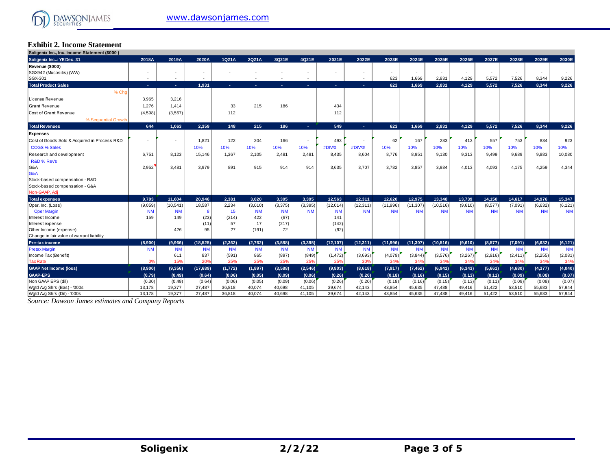# **Exhibit 2. Income Statement Soligenix Inc., Inc. Income Statement (\$000 )**

| Soligenix Inc., Inc. Income Statement (\$000) |                          |                          |           |           |           |           |                |           |            |           |           |                          |           |           |           |           |           |
|-----------------------------------------------|--------------------------|--------------------------|-----------|-----------|-----------|-----------|----------------|-----------|------------|-----------|-----------|--------------------------|-----------|-----------|-----------|-----------|-----------|
| Soligenix Inc: YE Dec. 31                     | 2018A                    | 2019A                    | 2020A     | 1Q21A     | 2Q21A     | 3Q21E     | 4Q21E          | 2021E     | 2022E      | 2023E     | 2024E     | 2025E                    | 2026E     | 2027E     | 2028E     | 2029E     | 2030E     |
| Revenue (\$000)                               |                          |                          |           |           |           |           |                |           |            |           |           |                          |           |           |           |           |           |
| SGX942 (Mucositis) (WW)                       | $\overline{\phantom{a}}$ | $\overline{\phantom{a}}$ |           |           |           |           | ٠              |           |            |           |           | $\overline{\phantom{a}}$ |           |           |           |           |           |
| SGX-301                                       | $\overline{\phantom{a}}$ | $\sim$                   |           |           |           |           | $\overline{a}$ |           |            | 623       | 1.669     | 2.831                    | 4.129     | 5.572     | 7.526     | 8.344     | 9,226     |
| <b>Total Product Sales</b>                    | n.                       | $\sim$                   | 1,931     |           |           | ×.        | $\sim$         | and the   | <b>COL</b> | 623       | 1.669     | 2,831                    | 4.129     | 5.572     | 7,526     | 8.344     | 9,226     |
| % Cho                                         |                          |                          |           |           |           |           |                |           |            |           |           |                          |           |           |           |           |           |
| License Revenue                               | 3,965                    | 3,216                    |           |           |           |           |                |           |            |           |           |                          |           |           |           |           |           |
| <b>Grant Revenue</b>                          | 1.276                    | 1.414                    |           | 33        | 215       | 186       |                | 434       |            |           |           |                          |           |           |           |           |           |
| Cost of Grant Revenue                         | (4,598)                  | (3, 567)                 |           | 112       |           |           |                | 112       |            |           |           |                          |           |           |           |           |           |
| % Sequential Growth                           |                          |                          |           |           |           |           |                |           |            |           |           |                          |           |           |           |           |           |
| <b>Total Revenues</b>                         | 644                      | 1.063                    | 2,359     | 148       | 215       | 186       | $\sim$         | 549       | ۰          | 623       | 1,669     | 2,831                    | 4,129     | 5,572     | 7,526     | 8,344     | 9,226     |
| Expenses                                      |                          |                          |           |           |           |           |                |           |            |           |           |                          |           |           |           |           |           |
| Cost of Goods Sold & Acquired in Process R&D  |                          | ÷                        | 1,821     | 122       | 204       | 166       | $\overline{a}$ | 493       |            | 62        | 167       | 283                      | 413       | 557       | 753       | 834       | 923       |
| <b>COGS % Sales</b>                           |                          |                          | 10%       | 10%       | 10%       | 10%       | 10%            | #DIV/0!   | #DIV/0!    | 10%       | 10%       | 10%                      | 10%       | 10%       | 10%       | 10%       | 10%       |
| Research and development                      | 6,751                    | 8,123                    | 15,146    | 1,367     | 2,105     | 2,481     | 2,481          | 8,435     | 8.604      | 8,776     | 8,951     | 9,130                    | 9,313     | 9,499     | 9,689     | 9,883     | 10,080    |
| R&D % Rev's                                   |                          |                          |           |           |           |           |                |           |            |           |           |                          |           |           |           |           |           |
| G&A                                           | 2,952                    | 3,481                    | 3,979     | 891       | 915       | 914       | 914            | 3,635     | 3.707      | 3,782     | 3.857     | 3,934                    | 4,013     | 4.093     | 4,175     | 4,259     | 4,344     |
| G&A                                           |                          |                          |           |           |           |           |                |           |            |           |           |                          |           |           |           |           |           |
| Stock-based compensation - R&D                |                          |                          |           |           |           |           |                |           |            |           |           |                          |           |           |           |           |           |
| Stock-based compensation - G&A                |                          |                          |           |           |           |           |                |           |            |           |           |                          |           |           |           |           |           |
| Non-GAAP, Adj                                 |                          |                          |           |           |           |           |                |           |            |           |           |                          |           |           |           |           |           |
| <b>Total expenses</b>                         | 9.703                    | 11,604                   | 20.946    | 2.381     | 3.020     | 3.395     | 3.395          | 12.563    | 12.311     | 12.620    | 12.975    | 13.348                   | 13.739    | 14.150    | 14.617    | 14.976    | 15,347    |
| Oper. Inc. (Loss)                             | (9,059)                  | (10,541)                 | 18,587    | 2,234     | (3,010)   | (3,375)   | (3, 395)       | (12,014)  | (12, 311)  | (11,996)  | (11, 307) | (10,516)                 | (9,610)   | (8,577)   | (7,091)   | (6,632)   | (6, 121)  |
| <b>Oper Margin</b>                            | <b>NM</b>                | <b>NM</b>                | 8         | 15        | <b>NM</b> | <b>NM</b> | <b>NM</b>      | <b>NM</b> | <b>NM</b>  | <b>NM</b> | <b>NM</b> | <b>NM</b>                | <b>NM</b> | <b>NM</b> | <b>NM</b> | <b>NM</b> | <b>NM</b> |
| Interest Income                               | 159                      | 149                      | (23)      | (214)     | 422       | (67)      |                | 141       |            |           |           |                          |           |           |           |           |           |
| Interest expense                              |                          |                          | (11)      | 57        | 17        | (217)     |                | (142)     |            |           |           |                          |           |           |           |           |           |
| Other Income (expense)                        |                          | 426                      | 95        | 27        | (191)     | 72        |                | (92)      |            |           |           |                          |           |           |           |           |           |
| Change in fair value of warrant liability     |                          |                          |           |           |           |           |                |           |            |           |           |                          |           |           |           |           |           |
| Pre-tax income                                | (8,900)                  | (9.966)                  | (18.525)  | (2.362)   | (2.762)   | (3.588)   | (3, 395)       | (12, 107) | (12, 311)  | (11,996)  | (11, 307) | (10, 516)                | (9,610)   | (8, 577)  | (7,091)   | (6, 632)  | (6, 121)  |
| <b>Pretax Margin</b>                          | <b>NM</b>                | <b>NM</b>                | <b>NM</b> | <b>NM</b> | <b>NM</b> | <b>NM</b> | <b>NM</b>      | <b>NM</b> | <b>NM</b>  | <b>NM</b> | <b>NM</b> | <b>NM</b>                | <b>NM</b> | <b>NM</b> | <b>NM</b> | <b>NM</b> | <b>NM</b> |
| Income Tax (Benefit)                          |                          | 611                      | 837       | (591)     | 865       | (897)     | (849)          | (1, 472)  | (3,693)    | (4,079)   | (3,844)   | (3,576)                  | (3, 267)  | (2,916)   | (2, 411)  | (2, 255)  | (2,081)   |
| <b>Tax Rate</b>                               | 0%                       | 15%                      | 20%       | 25%       | 25%       | 25%       | 25%            | 25%       | 30%        | 34%       | 34%       | 34%                      | 34%       | 34%       | 34%       | 34%       | 34%       |
| <b>GAAP Net Income (loss)</b>                 | (8,900)                  | (9,356)                  | (17,689)  | (1, 772)  | (1, 897)  | (3,588)   | (2, 546)       | (9,803)   | (8,618)    | (7, 917)  | (7, 462)  | (6,941)                  | (6, 343)  | (5,661)   | (4,680)   | (4, 377)  | (4,040)   |
| <b>GAAP-EPS</b>                               | (0.79)                   | (0.49)                   | (0.64)    | (0.06)    | (0.05)    | (0.09)    | (0.06)         | (0.26)    | (0.20)     | (0.18)    | (0.16)    | (0.15)                   | (0.13)    | (0.11)    | (0.09)    | (0.08)    | (0.07)    |
| Non GAAP EPS (dil)                            | (0.30)                   | (0.49)                   | (0.64)    | (0.06)    | (0.05)    | (0.09)    | (0.06)         | (0.26)    | (0.20)     | (0.18)    | (0.16)    | (0.15)                   | (0.13)    | (0.11)    | (0.09)    | (0.08)    | (0.07)    |
| Word Avo Shrs (Bas) - '000s                   | 13,178                   | 19,377                   | 27,487    | 36,818    | 40,074    | 40,698    | 41,105         | 39,674    | 42,143     | 43,854    | 45,635    | 47,488                   | 49,416    | 51,422    | 53,510    | 55,683    | 57,944    |
| Watd Ava Shrs (Dil) - '000s                   | 13.178                   | 19.377                   | 27.487    | 36,818    | 40.074    | 40.698    | 41.105         | 39.674    | 42.143     | 43.854    | 45.635    | 47.488                   | 49.416    | 51.422    | 53.510    | 55.683    | 57.944    |

*Source: Dawson James estimates and Company Reports*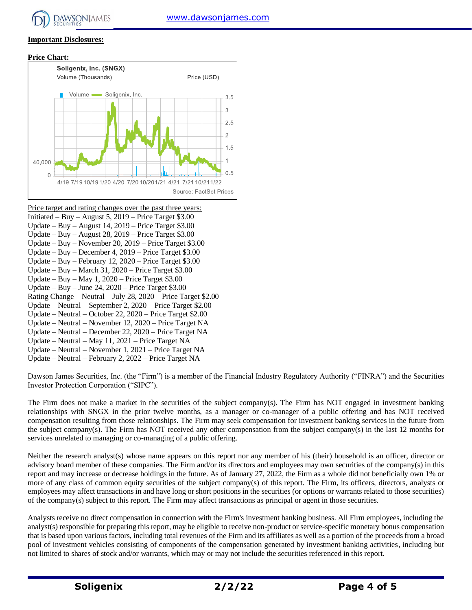# **Important Disclosures:**





- Price target and rating changes over the past three years:
- Initiated Buy August 5, 2019 Price Target \$3.00 Update – Buy – August 14, 2019 – Price Target \$3.00
- Update Buy August 28, 2019 Price Target \$3.00
- Update Buy November 20, 2019 Price Target \$3.00
- Update Buy December 4, 2019 Price Target \$3.00
- Update Buy February 12, 2020 Price Target \$3.00
- Update Buy March 31, 2020 Price Target \$3.00
- Update Buy May 1, 2020 Price Target \$3.00
- Update Buy June 24, 2020 Price Target \$3.00
- Rating Change Neutral July 28, 2020 Price Target \$2.00
- Update Neutral September 2, 2020 Price Target \$2.00
- Update Neutral October 22, 2020 Price Target \$2.00
- Update Neutral November 12, 2020 Price Target NA
- Update Neutral December 22, 2020 Price Target NA
- Update Neutral May 11, 2021 Price Target NA
- Update Neutral November 1, 2021 Price Target NA
- Update Neutral February 2, 2022 Price Target NA

Dawson James Securities, Inc. (the "Firm") is a member of the Financial Industry Regulatory Authority ("FINRA") and the Securities Investor Protection Corporation ("SIPC").

The Firm does not make a market in the securities of the subject company(s). The Firm has NOT engaged in investment banking relationships with SNGX in the prior twelve months, as a manager or co-manager of a public offering and has NOT received compensation resulting from those relationships. The Firm may seek compensation for investment banking services in the future from the subject company(s). The Firm has NOT received any other compensation from the subject company(s) in the last 12 months for services unrelated to managing or co-managing of a public offering.

Neither the research analyst(s) whose name appears on this report nor any member of his (their) household is an officer, director or advisory board member of these companies. The Firm and/or its directors and employees may own securities of the company(s) in this report and may increase or decrease holdings in the future. As of January 27, 2022, the Firm as a whole did not beneficially own 1% or more of any class of common equity securities of the subject company(s) of this report. The Firm, its officers, directors, analysts or employees may affect transactions in and have long or short positions in the securities (or options or warrants related to those securities) of the company(s) subject to this report. The Firm may affect transactions as principal or agent in those securities.

Analysts receive no direct compensation in connection with the Firm's investment banking business. All Firm employees, including the analyst(s) responsible for preparing this report, may be eligible to receive non-product or service-specific monetary bonus compensation that is based upon various factors, including total revenues of the Firm and its affiliates as well as a portion of the proceeds from a broad pool of investment vehicles consisting of components of the compensation generated by investment banking activities, including but not limited to shares of stock and/or warrants, which may or may not include the securities referenced in this report.